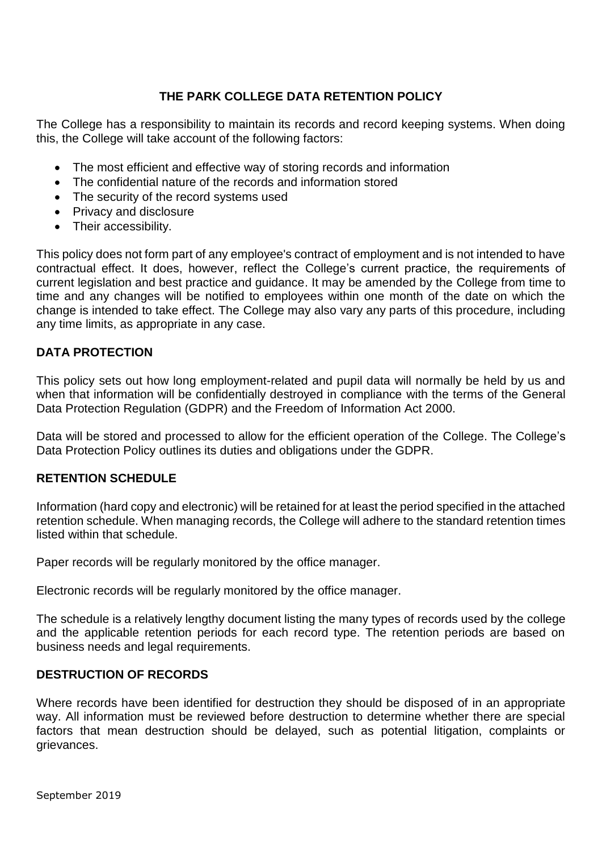## **THE PARK COLLEGE DATA RETENTION POLICY**

The College has a responsibility to maintain its records and record keeping systems. When doing this, the College will take account of the following factors:

- The most efficient and effective way of storing records and information
- The confidential nature of the records and information stored
- The security of the record systems used
- Privacy and disclosure
- Their accessibility.

This policy does not form part of any employee's contract of employment and is not intended to have contractual effect. It does, however, reflect the College's current practice, the requirements of current legislation and best practice and guidance. It may be amended by the College from time to time and any changes will be notified to employees within one month of the date on which the change is intended to take effect. The College may also vary any parts of this procedure, including any time limits, as appropriate in any case.

#### **DATA PROTECTION**

This policy sets out how long employment-related and pupil data will normally be held by us and when that information will be confidentially destroyed in compliance with the terms of the General Data Protection Regulation (GDPR) and the Freedom of Information Act 2000.

Data will be stored and processed to allow for the efficient operation of the College. The College's Data Protection Policy outlines its duties and obligations under the GDPR.

#### **RETENTION SCHEDULE**

Information (hard copy and electronic) will be retained for at least the period specified in the attached retention schedule. When managing records, the College will adhere to the standard retention times listed within that schedule.

Paper records will be regularly monitored by the office manager.

Electronic records will be regularly monitored by the office manager.

The schedule is a relatively lengthy document listing the many types of records used by the college and the applicable retention periods for each record type. The retention periods are based on business needs and legal requirements.

#### **DESTRUCTION OF RECORDS**

Where records have been identified for destruction they should be disposed of in an appropriate way. All information must be reviewed before destruction to determine whether there are special factors that mean destruction should be delayed, such as potential litigation, complaints or grievances.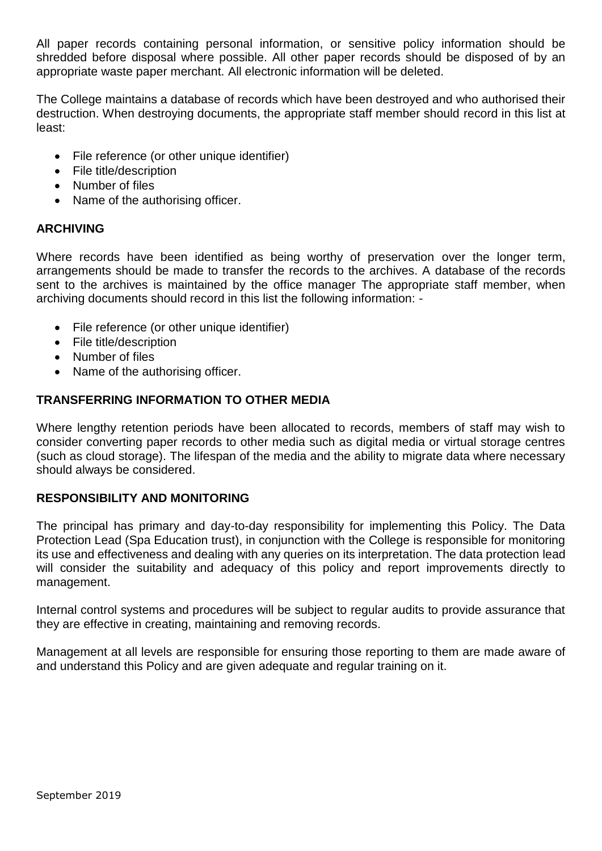All paper records containing personal information, or sensitive policy information should be shredded before disposal where possible. All other paper records should be disposed of by an appropriate waste paper merchant. All electronic information will be deleted.

The College maintains a database of records which have been destroyed and who authorised their destruction. When destroying documents, the appropriate staff member should record in this list at least:

- File reference (or other unique identifier)
- File title/description
- Number of files
- Name of the authorising officer.

#### **ARCHIVING**

Where records have been identified as being worthy of preservation over the longer term, arrangements should be made to transfer the records to the archives. A database of the records sent to the archives is maintained by the office manager The appropriate staff member, when archiving documents should record in this list the following information: -

- File reference (or other unique identifier)
- File title/description
- Number of files
- Name of the authorising officer.

#### **TRANSFERRING INFORMATION TO OTHER MEDIA**

Where lengthy retention periods have been allocated to records, members of staff may wish to consider converting paper records to other media such as digital media or virtual storage centres (such as cloud storage). The lifespan of the media and the ability to migrate data where necessary should always be considered.

#### **RESPONSIBILITY AND MONITORING**

The principal has primary and day-to-day responsibility for implementing this Policy. The Data Protection Lead (Spa Education trust), in conjunction with the College is responsible for monitoring its use and effectiveness and dealing with any queries on its interpretation. The data protection lead will consider the suitability and adequacy of this policy and report improvements directly to management.

Internal control systems and procedures will be subject to regular audits to provide assurance that they are effective in creating, maintaining and removing records.

Management at all levels are responsible for ensuring those reporting to them are made aware of and understand this Policy and are given adequate and regular training on it.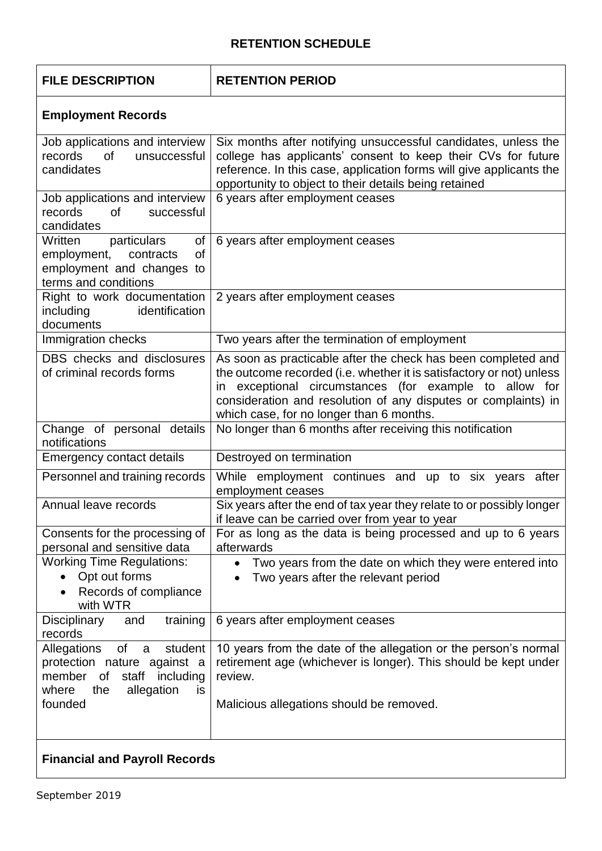## **RETENTION SCHEDULE**

| <b>FILE DESCRIPTION</b> |  |
|-------------------------|--|
|                         |  |

### **FILE DESCRIPTION RETENTION PERIOD**

# **Employment Records**

| Job applications and interview<br>records<br>0f<br>unsuccessful<br>candidates                                                            | Six months after notifying unsuccessful candidates, unless the<br>college has applicants' consent to keep their CVs for future<br>reference. In this case, application forms will give applicants the<br>opportunity to object to their details being retained                                                |  |
|------------------------------------------------------------------------------------------------------------------------------------------|---------------------------------------------------------------------------------------------------------------------------------------------------------------------------------------------------------------------------------------------------------------------------------------------------------------|--|
| Job applications and interview<br>records<br>0f<br>successful<br>candidates                                                              | 6 years after employment ceases                                                                                                                                                                                                                                                                               |  |
| Written<br>particulars<br>of<br>employment,<br>contracts<br>οf<br>employment and changes to<br>terms and conditions                      | 6 years after employment ceases                                                                                                                                                                                                                                                                               |  |
| Right to work documentation<br>identification<br>including<br>documents                                                                  | 2 years after employment ceases                                                                                                                                                                                                                                                                               |  |
| Immigration checks                                                                                                                       | Two years after the termination of employment                                                                                                                                                                                                                                                                 |  |
| DBS checks and disclosures<br>of criminal records forms                                                                                  | As soon as practicable after the check has been completed and<br>the outcome recorded (i.e. whether it is satisfactory or not) unless<br>in exceptional circumstances (for example to allow for<br>consideration and resolution of any disputes or complaints) in<br>which case, for no longer than 6 months. |  |
| Change of personal details<br>notifications                                                                                              | No longer than 6 months after receiving this notification                                                                                                                                                                                                                                                     |  |
| Emergency contact details                                                                                                                | Destroyed on termination                                                                                                                                                                                                                                                                                      |  |
| Personnel and training records                                                                                                           | While employment continues and up to six years<br>after<br>employment ceases                                                                                                                                                                                                                                  |  |
| Annual leave records                                                                                                                     | Six years after the end of tax year they relate to or possibly longer<br>if leave can be carried over from year to year                                                                                                                                                                                       |  |
| Consents for the processing of<br>personal and sensitive data                                                                            | For as long as the data is being processed and up to 6 years<br>afterwards                                                                                                                                                                                                                                    |  |
| <b>Working Time Regulations:</b><br>• Opt out forms<br>Records of compliance<br>with WTR                                                 | Two years from the date on which they were entered into<br>Two years after the relevant period                                                                                                                                                                                                                |  |
| training<br>Disciplinary<br>and<br>records                                                                                               | 6 years after employment ceases                                                                                                                                                                                                                                                                               |  |
| student<br>Allegations<br>0f<br>a<br>protection nature against a<br>member<br>of staff<br>including<br>where<br>allegation<br>the<br>is. | 10 years from the date of the allegation or the person's normal<br>retirement age (whichever is longer). This should be kept under<br>review.                                                                                                                                                                 |  |
| founded                                                                                                                                  | Malicious allegations should be removed.                                                                                                                                                                                                                                                                      |  |
| <b>Financial and Payroll Records</b>                                                                                                     |                                                                                                                                                                                                                                                                                                               |  |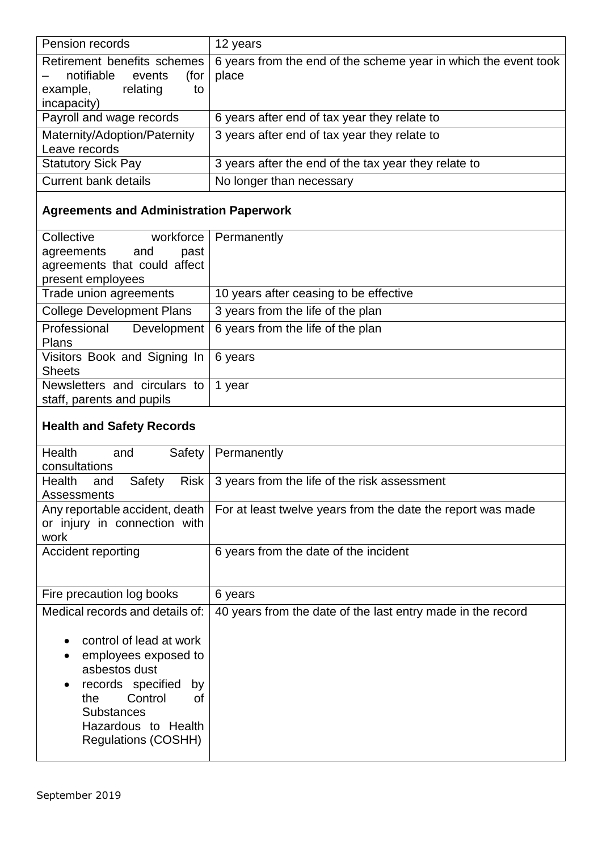| Pension records                                                                                          | 12 years                                                                 |
|----------------------------------------------------------------------------------------------------------|--------------------------------------------------------------------------|
| Retirement benefits schemes<br>notifiable<br>events<br>(for<br>relating<br>example,<br>to<br>incapacity) | 6 years from the end of the scheme year in which the event took<br>place |
| Payroll and wage records                                                                                 | 6 years after end of tax year they relate to                             |
| Maternity/Adoption/Paternity<br>Leave records                                                            | 3 years after end of tax year they relate to                             |
| <b>Statutory Sick Pay</b>                                                                                | 3 years after the end of the tax year they relate to                     |
| <b>Current bank details</b>                                                                              | No longer than necessary                                                 |

# **Agreements and Administration Paperwork**

| Collective<br>workforce          | Permanently                            |
|----------------------------------|----------------------------------------|
| agreements<br>and<br>past        |                                        |
| agreements that could affect     |                                        |
| present employees                |                                        |
| Trade union agreements           | 10 years after ceasing to be effective |
| <b>College Development Plans</b> | 3 years from the life of the plan      |
| Professional<br>Development      | 6 years from the life of the plan      |
| <b>Plans</b>                     |                                        |
| Visitors Book and Signing In     | 6 years                                |
| <b>Sheets</b>                    |                                        |
| Newsletters and circulars to     | 1 year                                 |
| staff, parents and pupils        |                                        |
|                                  |                                        |

# **Health and Safety Records**

| <b>Health</b><br>Safety<br>and         | Permanently                                                 |
|----------------------------------------|-------------------------------------------------------------|
| consultations                          |                                                             |
| Health<br><b>Risk</b><br>Safety<br>and | 3 years from the life of the risk assessment                |
| Assessments                            |                                                             |
| Any reportable accident, death         | For at least twelve years from the date the report was made |
| or injury in connection with           |                                                             |
| work                                   |                                                             |
| Accident reporting                     | 6 years from the date of the incident                       |
|                                        |                                                             |
|                                        |                                                             |
| Fire precaution log books              | 6 years                                                     |
| Medical records and details of:        | 40 years from the date of the last entry made in the record |
|                                        |                                                             |
| control of lead at work                |                                                             |
| employees exposed to                   |                                                             |
|                                        |                                                             |
| asbestos dust                          |                                                             |
| records specified<br>by                |                                                             |
| Control<br>the<br>0f                   |                                                             |
| <b>Substances</b>                      |                                                             |
| Hazardous to Health                    |                                                             |
|                                        |                                                             |
| <b>Regulations (COSHH)</b>             |                                                             |
|                                        |                                                             |